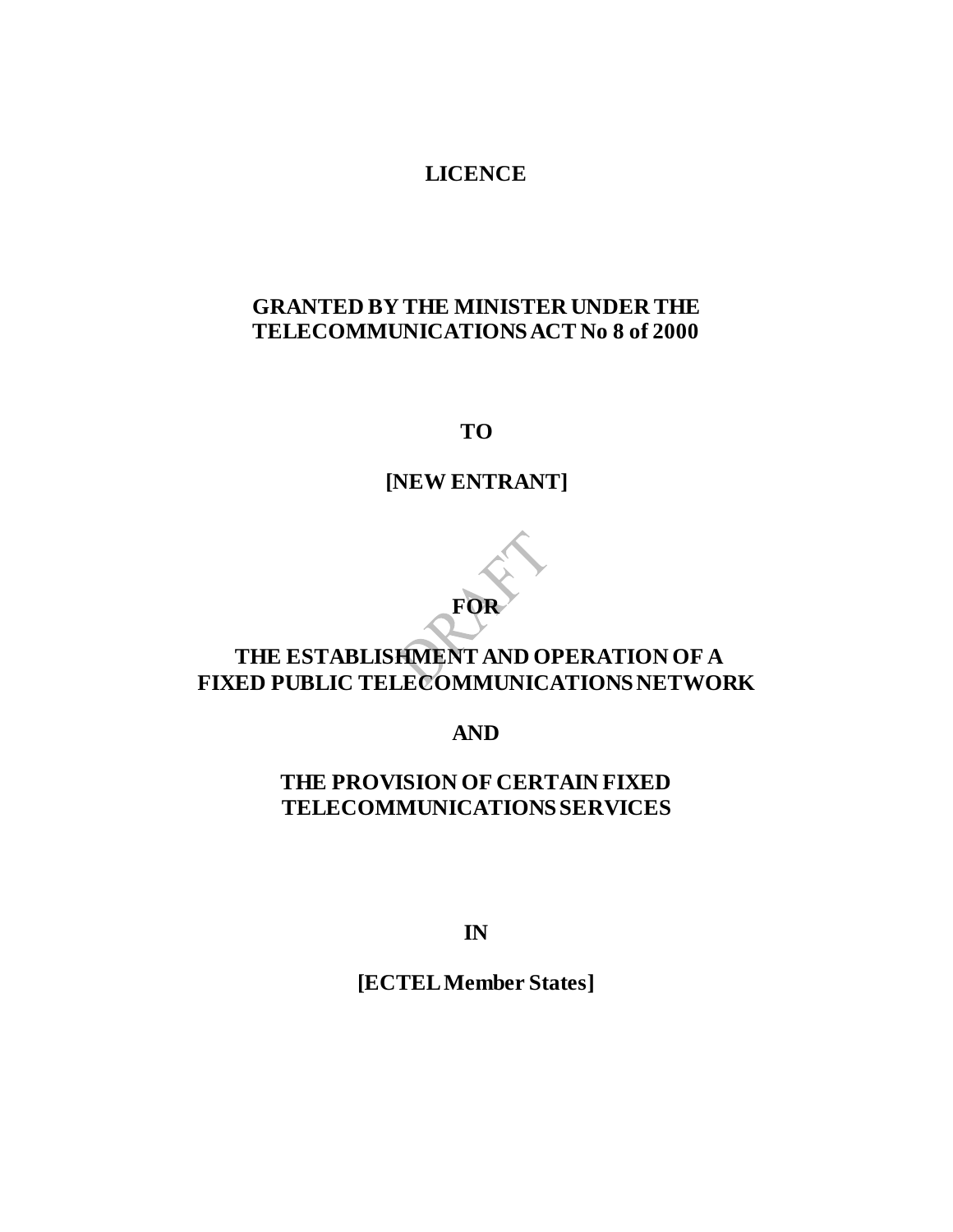### **LICENCE**

### **GRANTED BY THE MINISTER UNDER THE TELECOMMUNICATIONS ACT No 8 of 2000**

**TO**

# **[NEW ENTRANT]**

**FOR**

## **THE ESTABLISHMENT AND OPERATION OF A FIXED PUBLIC TELECOMMUNICATIONS NETWORK**

**AND** 

### **THE PROVISION OF CERTAIN FIXED TELECOMMUNICATIONS SERVICES**

**IN**

**[ECTEL Member States]**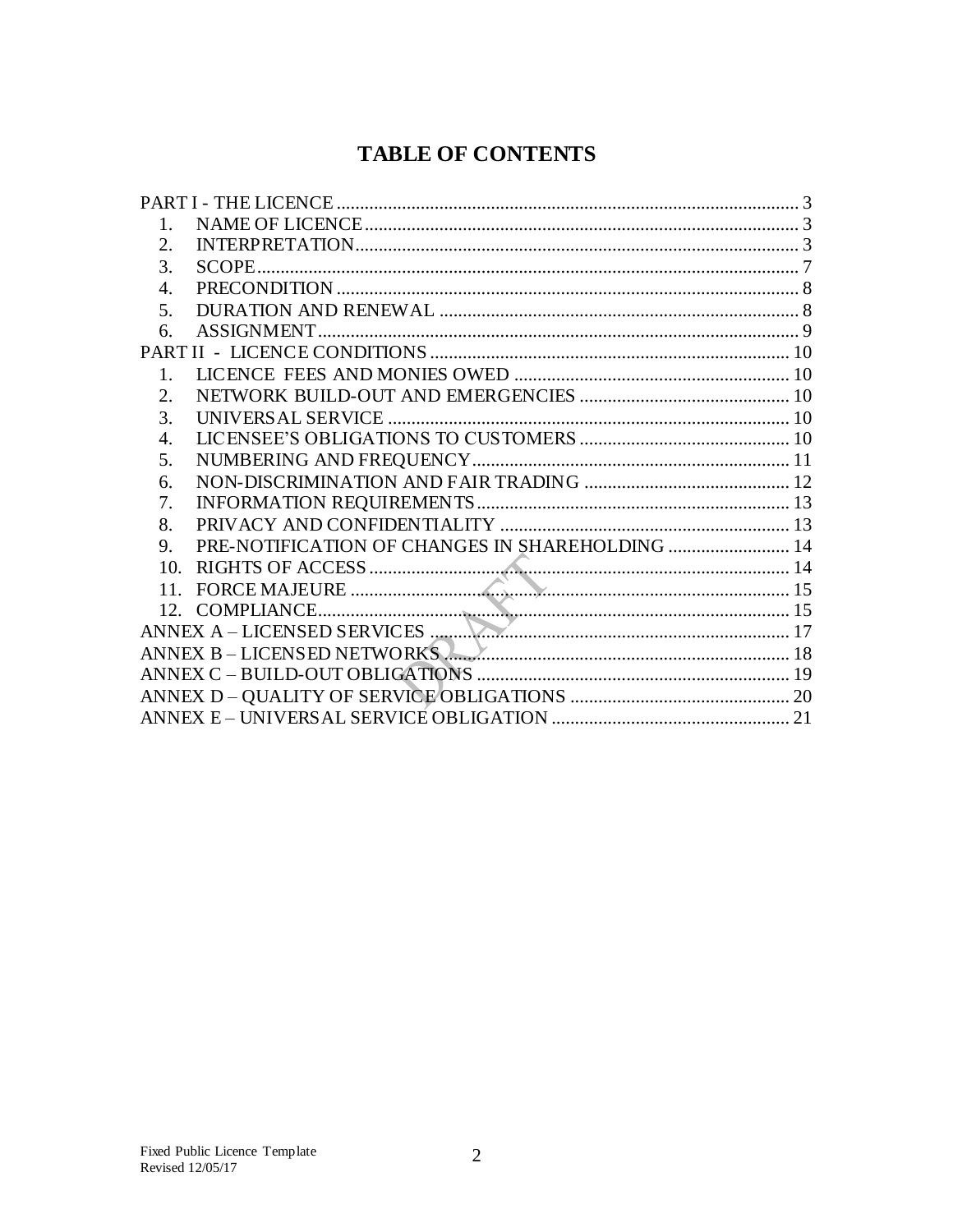# **TABLE OF CONTENTS**

| PRE-NOTIFICATION OF CHANGES IN SHAREHOLDING  14                                   |
|-----------------------------------------------------------------------------------|
|                                                                                   |
| FORCE MAJEURE                                                                     |
|                                                                                   |
|                                                                                   |
| ANNEX B – LICENSED NETWORKS <b>MARKET AND SERVICE ANNEX B</b> – LICENSED NETWORKS |
|                                                                                   |
|                                                                                   |
|                                                                                   |
|                                                                                   |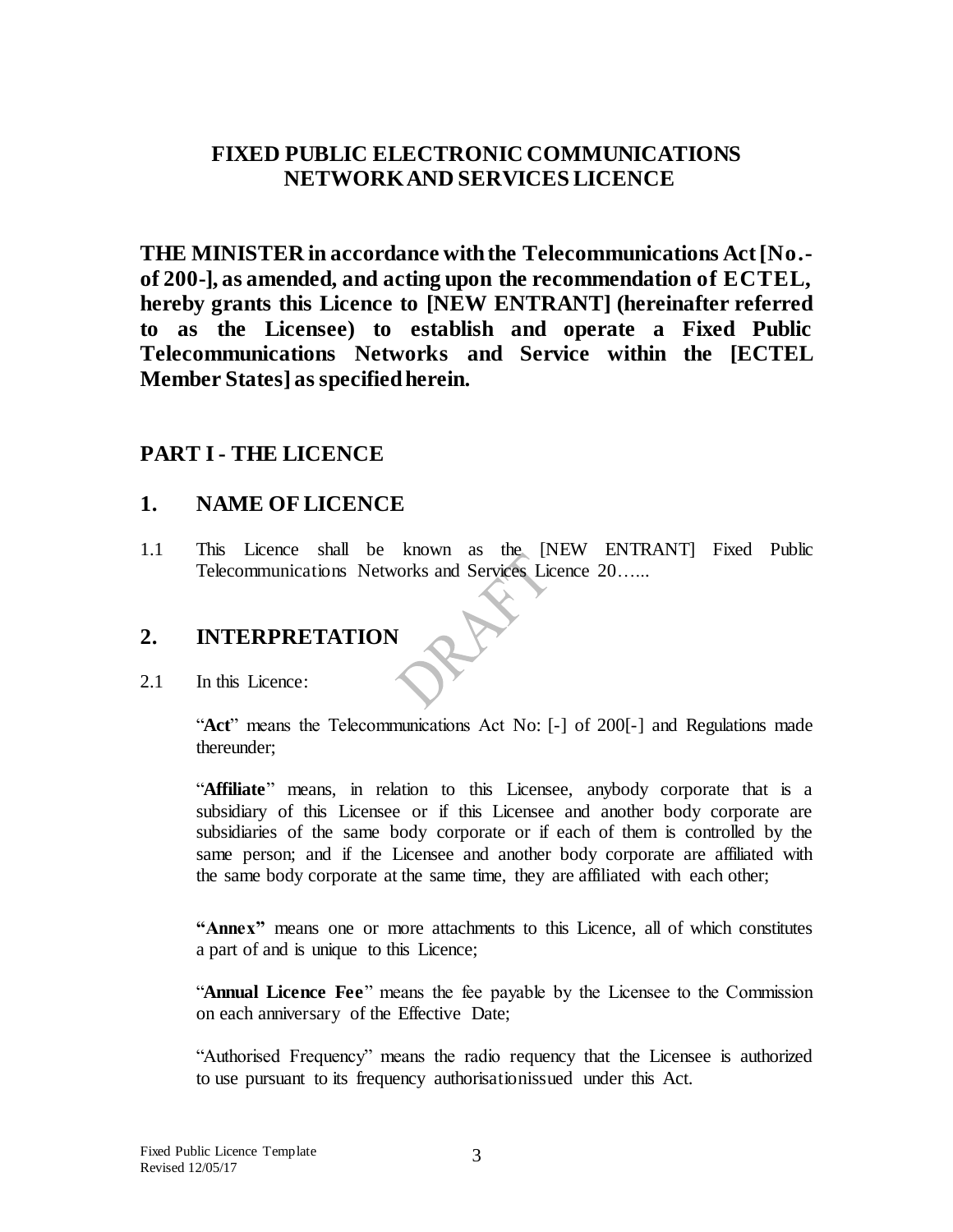### **FIXED PUBLIC ELECTRONIC COMMUNICATIONS NETWORK AND SERVICES LICENCE**

**THE MINISTER in accordance with the Telecommunications Act [No. of 200-], as amended, and acting upon the recommendation of ECTEL, hereby grants this Licence to [NEW ENTRANT] (hereinafter referred to as the Licensee) to establish and operate a Fixed Public Telecommunications Networks and Service within the [ECTEL Member States] asspecified herein.**

### <span id="page-2-0"></span>**PART I - THE LICENCE**

#### <span id="page-2-1"></span>**1. NAME OF LICENCE**

1.1 This Licence shall be known as the [NEW ENTRANT] Fixed Public Telecommunications Networks and Services Licence 20…...

## <span id="page-2-2"></span>**2. INTERPRETATION**

2.1 In this Licence:

"**Act**" means the Telecommunications Act No: [-] of 200[-] and Regulations made thereunder;

"**Affiliate**" means, in relation to this Licensee, anybody corporate that is a subsidiary of this Licensee or if this Licensee and another body corporate are subsidiaries of the same body corporate or if each of them is controlled by the same person; and if the Licensee and another body corporate are affiliated with the same body corporate at the same time, they are affiliated with each other;

**"Annex"** means one or more attachments to this Licence, all of which constitutes a part of and is unique to this Licence;

"**Annual Licence Fee**" means the fee payable by the Licensee to the Commission on each anniversary of the Effective Date;

"Authorised Frequency" means the radio requency that the Licensee is authorized to use pursuant to its frequency authorisationissued under this Act.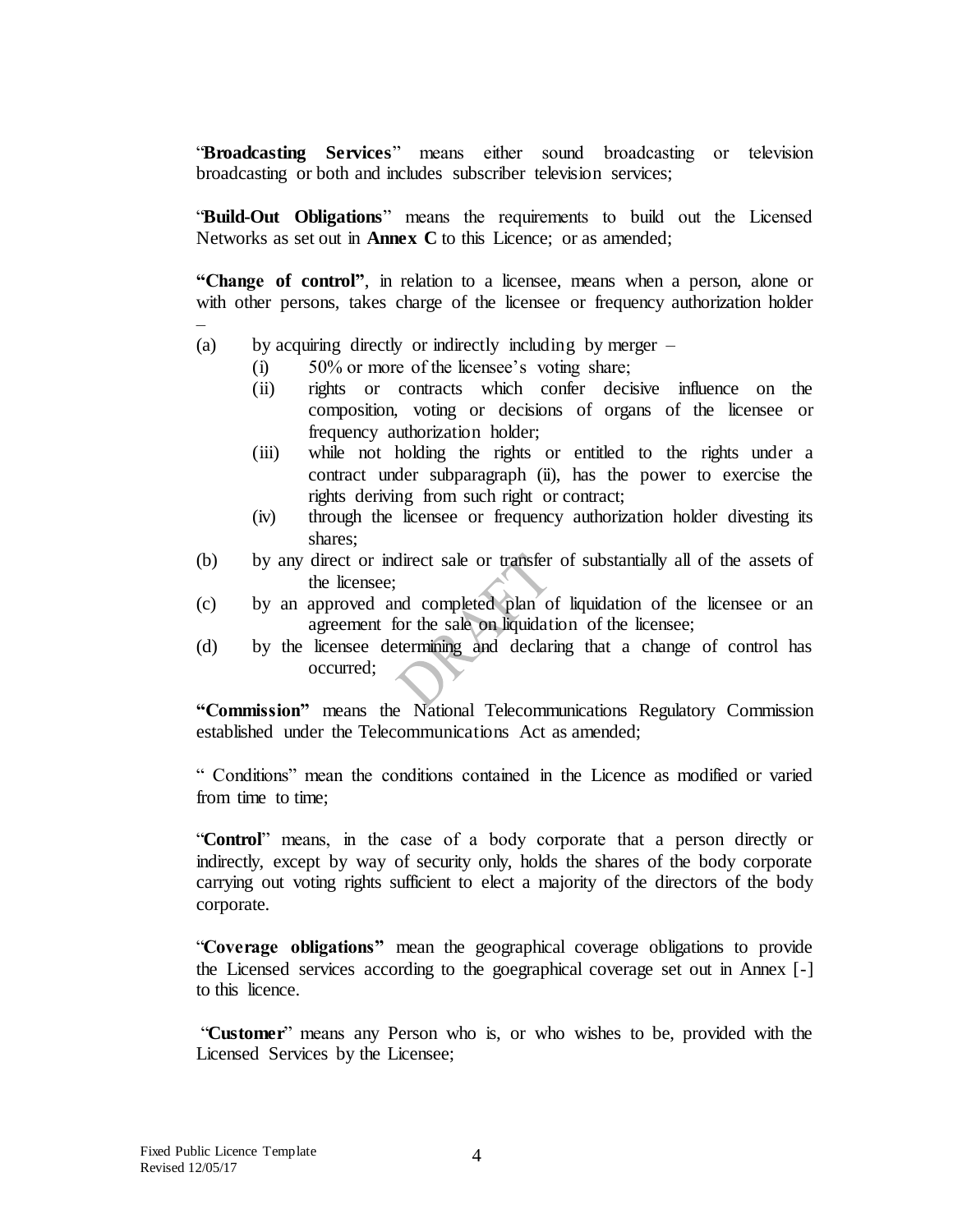"**Broadcasting Services**" means either sound broadcasting or television broadcasting or both and includes subscriber television services;

"**Build-Out Obligations**" means the requirements to build out the Licensed Networks as set out in **Annex C** to this Licence; or as amended;

**"Change of control"**, in relation to a licensee, means when a person, alone or with other persons, takes charge of the licensee or frequency authorization holder

- (a) by acquiring directly or indirectly including by merger
	- (i) 50% or more of the licensee's voting share;
	- (ii) rights or contracts which confer decisive influence on the composition, voting or decisions of organs of the licensee or frequency authorization holder;
	- (iii) while not holding the rights or entitled to the rights under a contract under subparagraph (ii), has the power to exercise the rights deriving from such right or contract;
	- (iv) through the licensee or frequency authorization holder divesting its shares;
- (b) by any direct or indirect sale or transfer of substantially all of the assets of the licensee;
- (c) by an approved and completed plan of liquidation of the licensee or an agreement for the sale on liquidation of the licensee;
- (d) by the licensee determining and declaring that a change of control has occurred;

**"Commission"** means the National Telecommunications Regulatory Commission established under the Telecommunications Act as amended;

" Conditions" mean the conditions contained in the Licence as modified or varied from time to time;

"**Control**" means, in the case of a body corporate that a person directly or indirectly, except by way of security only, holds the shares of the body corporate carrying out voting rights sufficient to elect a majority of the directors of the body corporate.

"**Coverage obligations"** mean the geographical coverage obligations to provide the Licensed services according to the goegraphical coverage set out in Annex [-] to this licence.

"**Customer**" means any Person who is, or who wishes to be, provided with the Licensed Services by the Licensee;

–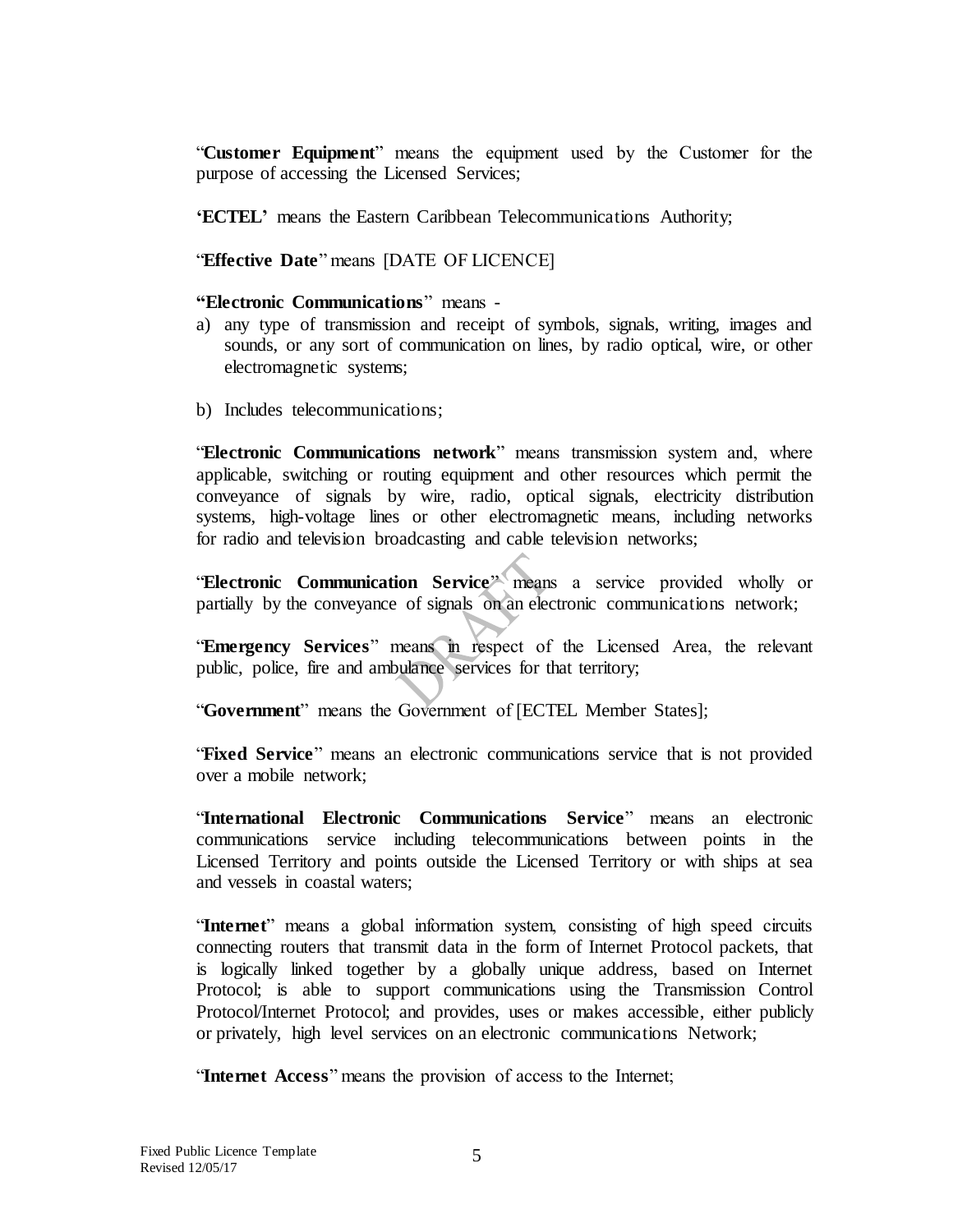"**Customer Equipment**" means the equipment used by the Customer for the purpose of accessing the Licensed Services;

**'ECTEL'** means the Eastern Caribbean Telecommunications Authority;

"**Effective Date**" means [DATE OF LICENCE]

#### **"Electronic Communications**" means -

- a) any type of transmission and receipt of symbols, signals, writing, images and sounds, or any sort of communication on lines, by radio optical, wire, or other electromagnetic systems;
- b) Includes telecommunications;

"**Electronic Communications network**" means transmission system and, where applicable, switching or routing equipment and other resources which permit the conveyance of signals by wire, radio, optical signals, electricity distribution systems, high-voltage lines or other electromagnetic means, including networks for radio and television broadcasting and cable television networks;

"**Electronic Communication Service**" means a service provided wholly or partially by the conveyance of signals on an electronic communications network;

"**Emergency Services**" means in respect of the Licensed Area, the relevant public, police, fire and ambulance services for that territory;

"**Government**" means the Government of [ECTEL Member States];

"**Fixed Service**" means an electronic communications service that is not provided over a mobile network;

"**International Electronic Communications Service**" means an electronic communications service including telecommunications between points in the Licensed Territory and points outside the Licensed Territory or with ships at sea and vessels in coastal waters;

"**Internet**" means a global information system, consisting of high speed circuits connecting routers that transmit data in the form of Internet Protocol packets, that is logically linked together by a globally unique address, based on Internet Protocol; is able to support communications using the Transmission Control Protocol/Internet Protocol; and provides, uses or makes accessible, either publicly or privately, high level services on an electronic communications Network;

"**Internet Access**" means the provision of access to the Internet;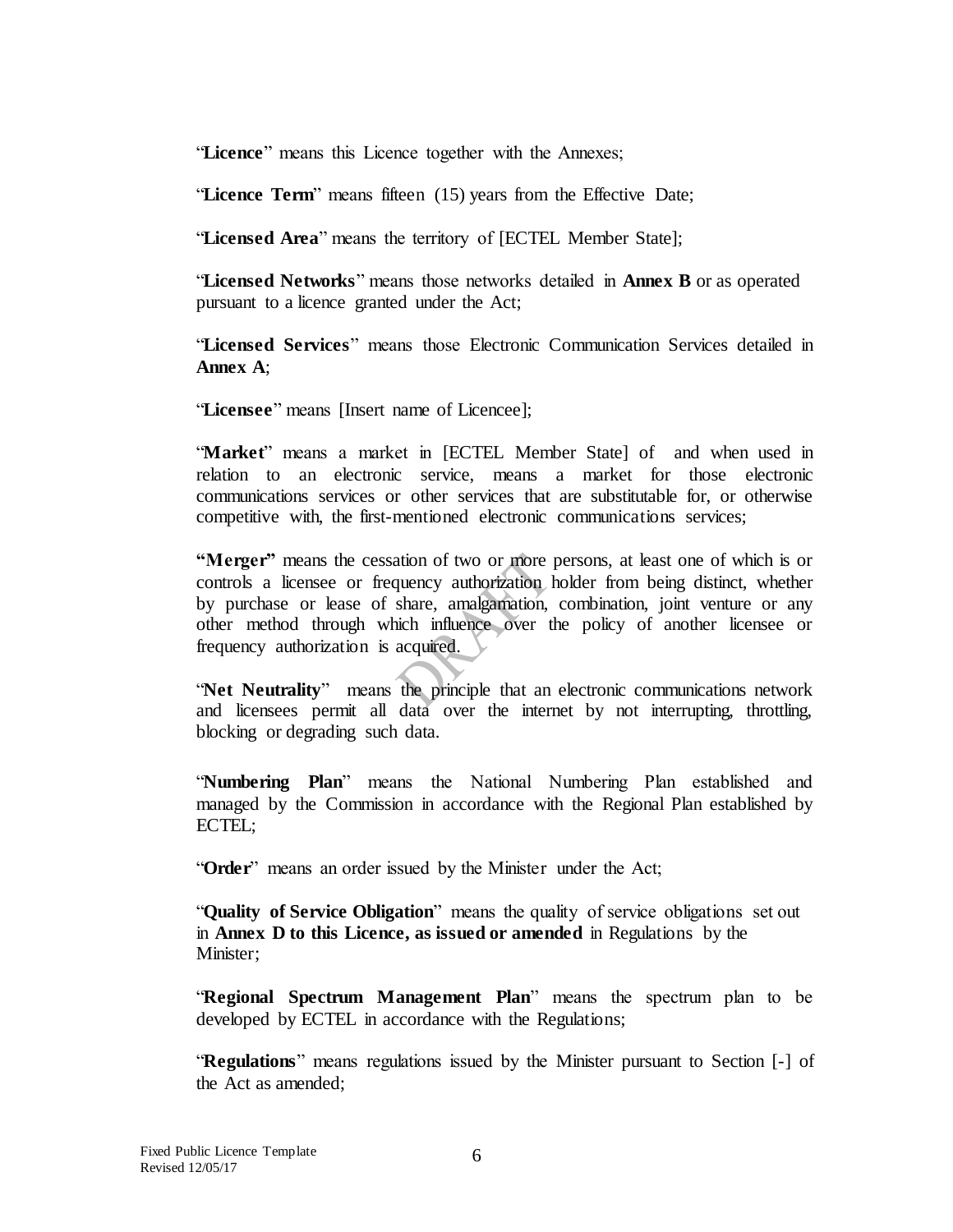"**Licence**" means this Licence together with the Annexes;

"**Licence Term**" means fifteen (15) years from the Effective Date;

"**Licensed Area**" means the territory of [ECTEL Member State];

"**Licensed Networks**" means those networks detailed in **Annex B** or as operated pursuant to a licence granted under the Act;

"**Licensed Services**" means those Electronic Communication Services detailed in **Annex A**;

"**Licensee**" means [Insert name of Licencee];

"**Market**" means a market in [ECTEL Member State] of and when used in relation to an electronic service, means a market for those electronic communications services or other services that are substitutable for, or otherwise competitive with, the first-mentioned electronic communications services;

**"Merger"** means the cessation of two or more persons, at least one of which is or controls a licensee or frequency authorization holder from being distinct, whether by purchase or lease of share, amalgamation, combination, joint venture or any other method through which influence over the policy of another licensee or frequency authorization is acquired.

"**Net Neutrality**" means the principle that an electronic communications network and licensees permit all data over the internet by not interrupting, throttling, blocking or degrading such data.

"**Numbering Plan**" means the National Numbering Plan established and managed by the Commission in accordance with the Regional Plan established by ECTEL;

"**Order**" means an order issued by the Minister under the Act;

"**Quality of Service Obligation**" means the quality of service obligations set out in **Annex D to this Licence, as issued or amended** in Regulations by the Minister:

"**Regional Spectrum Management Plan**" means the spectrum plan to be developed by ECTEL in accordance with the Regulations;

"**Regulations**" means regulations issued by the Minister pursuant to Section [-] of the Act as amended;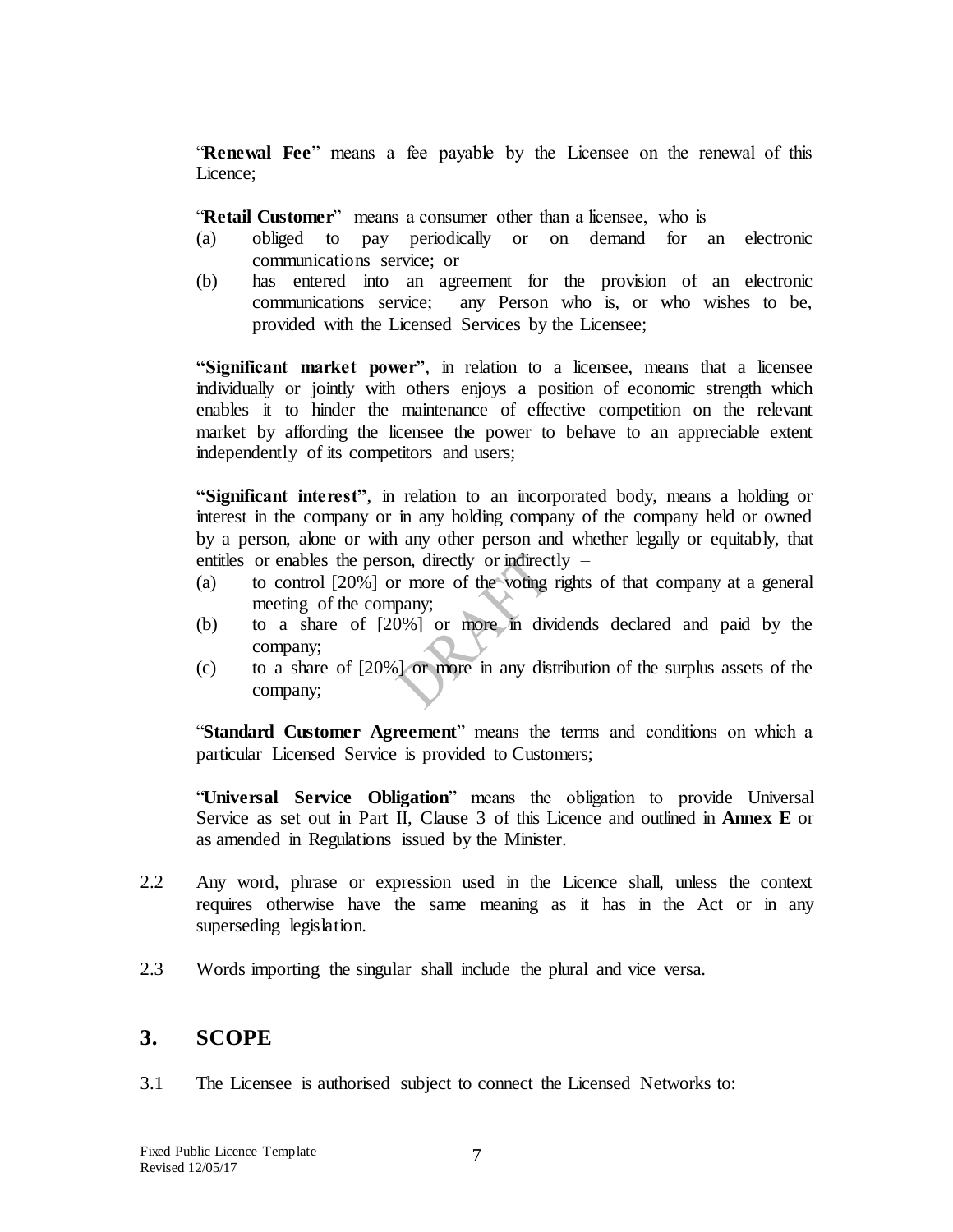"**Renewal Fee**" means a fee payable by the Licensee on the renewal of this Licence;

"**Retail Customer**" means a consumer other than a licensee, who is –

- (a) obliged to pay periodically or on demand for an electronic communications service; or
- (b) has entered into an agreement for the provision of an electronic communications service; any Person who is, or who wishes to be, provided with the Licensed Services by the Licensee;

**"Significant market power"**, in relation to a licensee, means that a licensee individually or jointly with others enjoys a position of economic strength which enables it to hinder the maintenance of effective competition on the relevant market by affording the licensee the power to behave to an appreciable extent independently of its competitors and users;

**"Significant interest"**, in relation to an incorporated body, means a holding or interest in the company or in any holding company of the company held or owned by a person, alone or with any other person and whether legally or equitably, that entitles or enables the person, directly or indirectly  $-$ 

- (a) to control [20%] or more of the voting rights of that company at a general meeting of the company;
- (b) to a share of [20%] or more in dividends declared and paid by the company;
- (c) to a share of [20%] or more in any distribution of the surplus assets of the company;

"**Standard Customer Agreement**" means the terms and conditions on which a particular Licensed Service is provided to Customers;

"**Universal Service Obligation**" means the obligation to provide Universal Service as set out in Part II, Clause 3 of this Licence and outlined in **Annex E** or as amended in Regulations issued by the Minister.

- 2.2 Any word, phrase or expression used in the Licence shall, unless the context requires otherwise have the same meaning as it has in the Act or in any superseding legislation.
- 2.3 Words importing the singular shall include the plural and vice versa.

#### <span id="page-6-0"></span>**3. SCOPE**

3.1 The Licensee is authorised subject to connect the Licensed Networks to: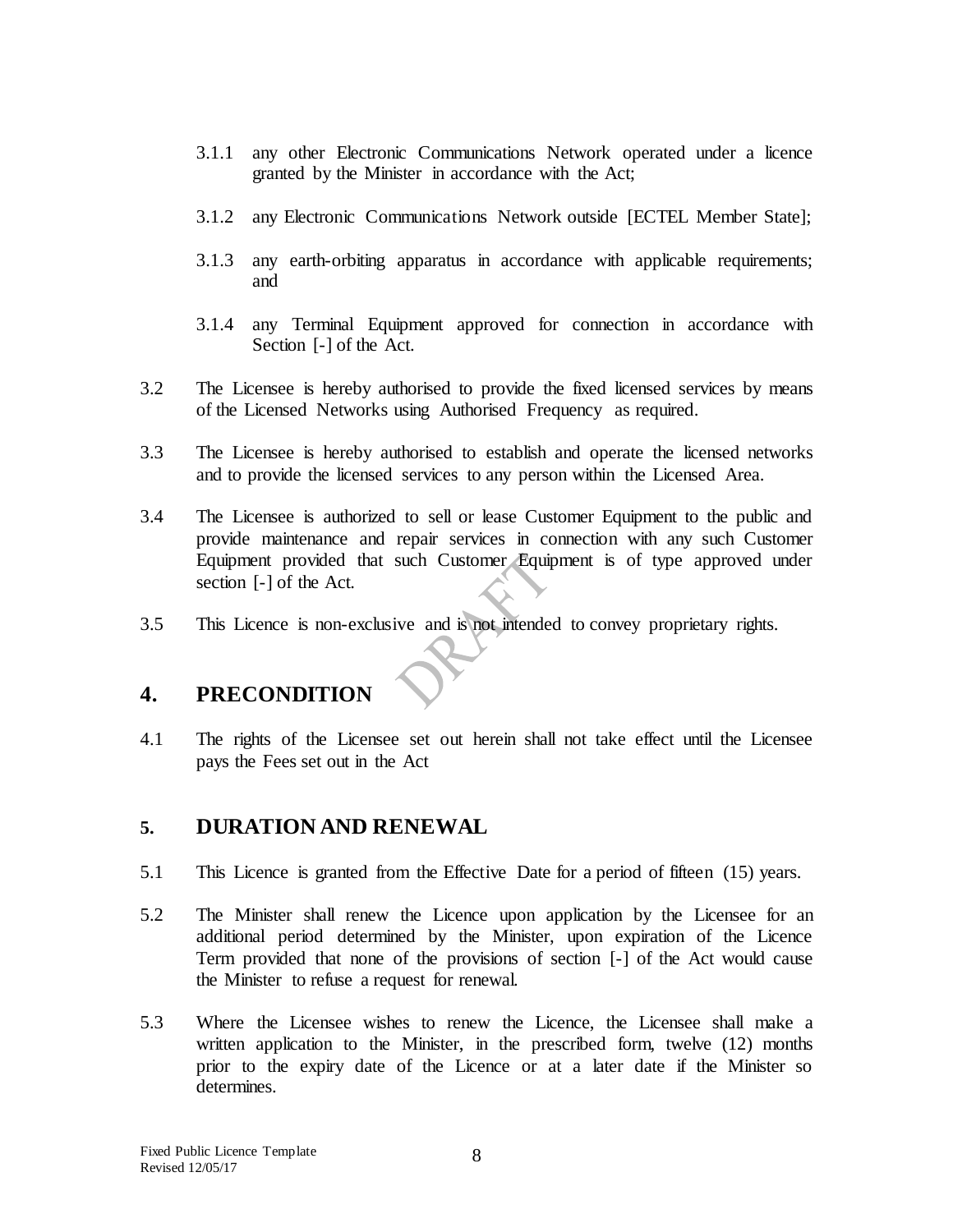- 3.1.1 any other Electronic Communications Network operated under a licence granted by the Minister in accordance with the Act;
- 3.1.2 any Electronic Communications Network outside [ECTEL Member State];
- 3.1.3 any earth-orbiting apparatus in accordance with applicable requirements; and
- 3.1.4 any Terminal Equipment approved for connection in accordance with Section [-] of the Act.
- 3.2 The Licensee is hereby authorised to provide the fixed licensed services by means of the Licensed Networks using Authorised Frequency as required.
- 3.3 The Licensee is hereby authorised to establish and operate the licensed networks and to provide the licensed services to any person within the Licensed Area.
- 3.4 The Licensee is authorized to sell or lease Customer Equipment to the public and provide maintenance and repair services in connection with any such Customer Equipment provided that such Customer Equipment is of type approved under section [-] of the Act.
- 3.5 This Licence is non-exclusive and is not intended to convey proprietary rights.

## <span id="page-7-0"></span>**4. PRECONDITION**

4.1 The rights of the Licensee set out herein shall not take effect until the Licensee pays the Fees set out in the Act

#### <span id="page-7-1"></span>**5. DURATION AND RENEWAL**

- 5.1 This Licence is granted from the Effective Date for a period of fifteen (15) years.
- 5.2 The Minister shall renew the Licence upon application by the Licensee for an additional period determined by the Minister, upon expiration of the Licence Term provided that none of the provisions of section [-] of the Act would cause the Minister to refuse a request for renewal.
- 5.3 Where the Licensee wishes to renew the Licence, the Licensee shall make a written application to the Minister, in the prescribed form, twelve (12) months prior to the expiry date of the Licence or at a later date if the Minister so determines.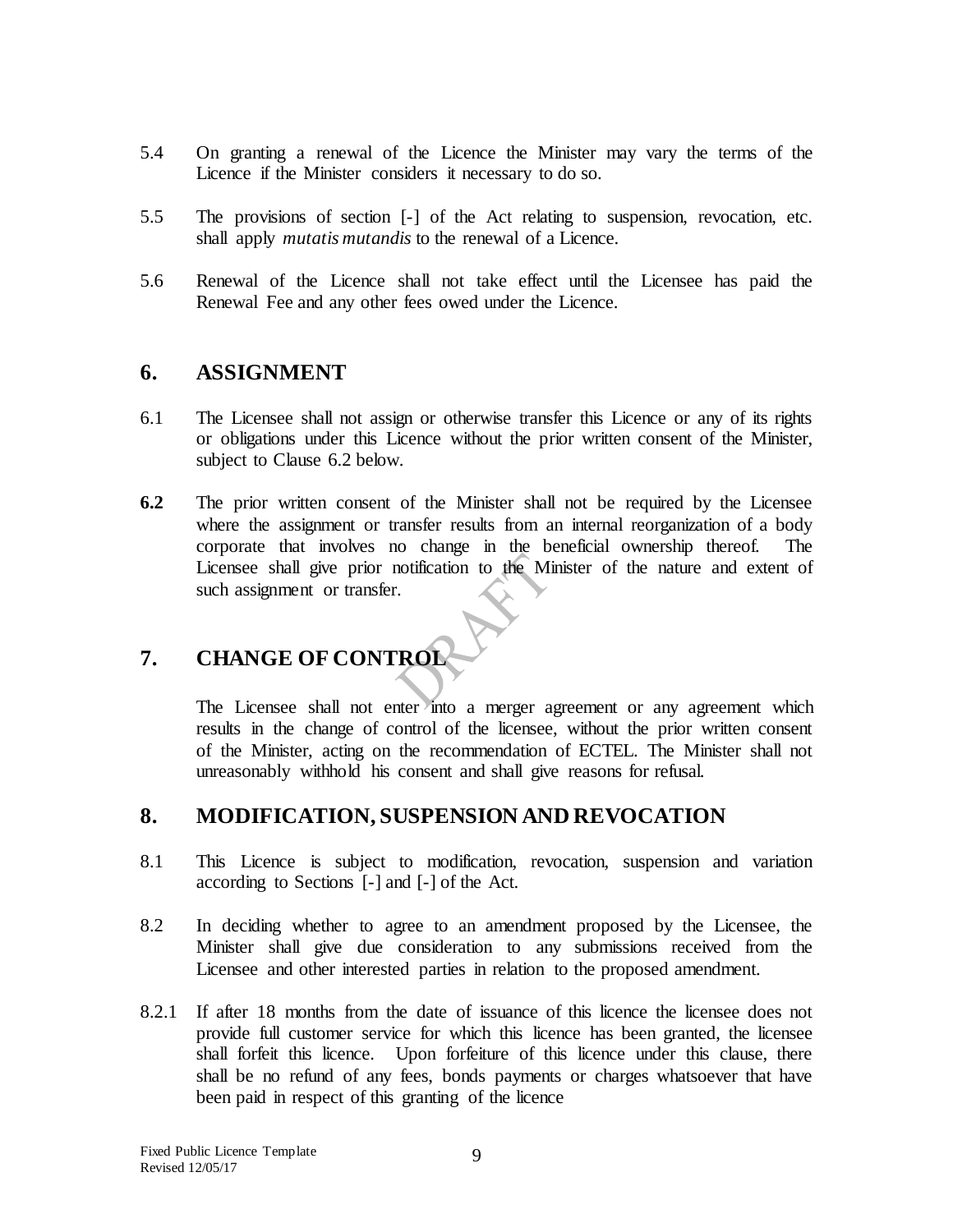- 5.4 On granting a renewal of the Licence the Minister may vary the terms of the Licence if the Minister considers it necessary to do so.
- 5.5 The provisions of section [-] of the Act relating to suspension, revocation, etc. shall apply *mutatis mutandis* to the renewal of a Licence.
- 5.6 Renewal of the Licence shall not take effect until the Licensee has paid the Renewal Fee and any other fees owed under the Licence.

#### <span id="page-8-0"></span>**6. ASSIGNMENT**

- 6.1 The Licensee shall not assign or otherwise transfer this Licence or any of its rights or obligations under this Licence without the prior written consent of the Minister, subject to Clause 6.2 below.
- **6.2** The prior written consent of the Minister shall not be required by the Licensee where the assignment or transfer results from an internal reorganization of a body corporate that involves no change in the beneficial ownership thereof. The Licensee shall give prior notification to the Minister of the nature and extent of such assignment or transfer.

# **7. CHANGE OF CONTROL**

The Licensee shall not enter into a merger agreement or any agreement which results in the change of control of the licensee, without the prior written consent of the Minister, acting on the recommendation of ECTEL. The Minister shall not unreasonably withhold his consent and shall give reasons for refusal.

### **8. MODIFICATION, SUSPENSION AND REVOCATION**

- 8.1 This Licence is subject to modification, revocation, suspension and variation according to Sections [-] and [-] of the Act.
- 8.2 In deciding whether to agree to an amendment proposed by the Licensee, the Minister shall give due consideration to any submissions received from the Licensee and other interested parties in relation to the proposed amendment.
- 8.2.1 If after 18 months from the date of issuance of this licence the licensee does not provide full customer service for which this licence has been granted, the licensee shall forfeit this licence. Upon forfeiture of this licence under this clause, there shall be no refund of any fees, bonds payments or charges whatsoever that have been paid in respect of this granting of the licence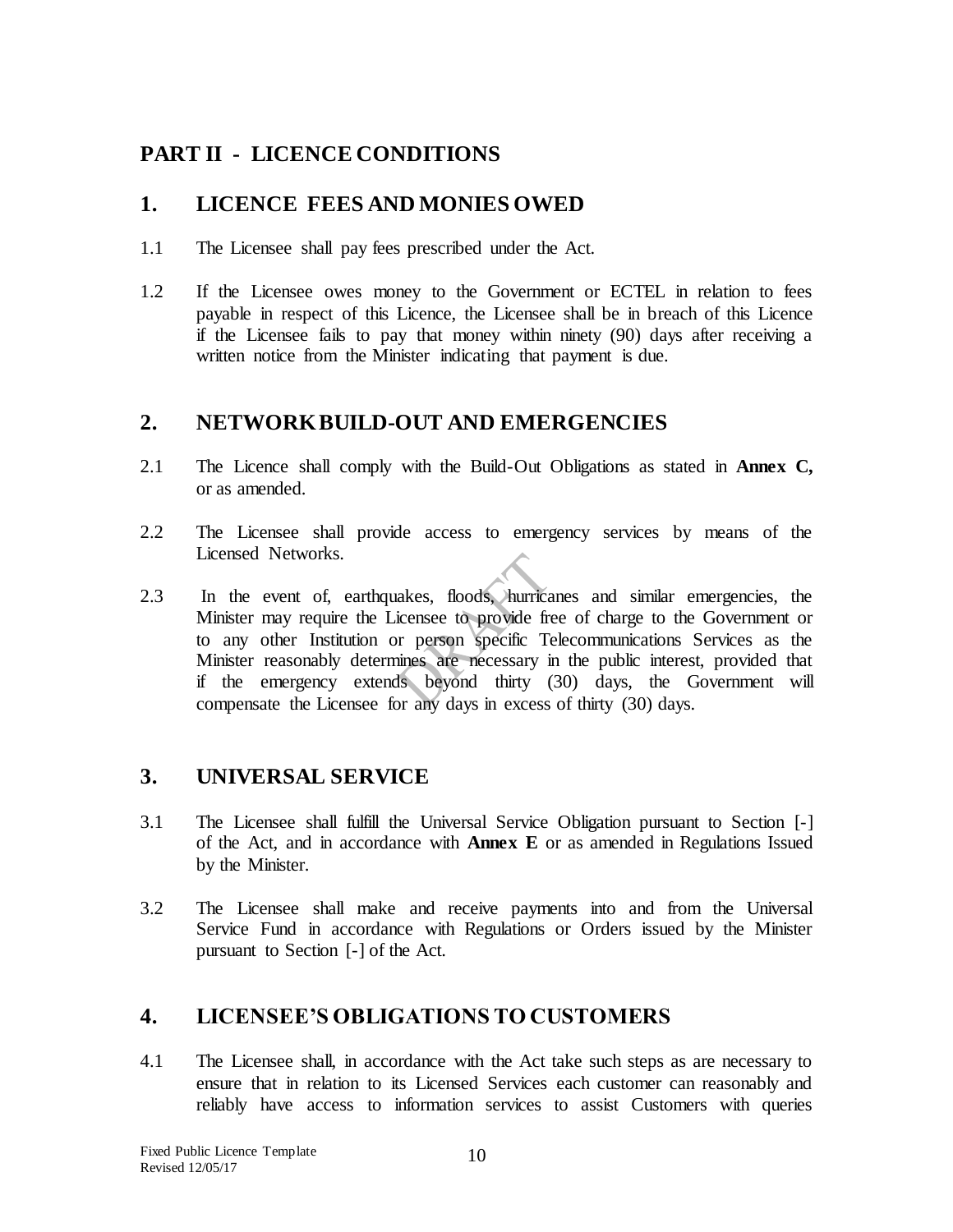### <span id="page-9-0"></span>**PART II - LICENCE CONDITIONS**

### <span id="page-9-1"></span>**1. LICENCE FEES AND MONIES OWED**

- 1.1 The Licensee shall pay fees prescribed under the Act.
- 1.2 If the Licensee owes money to the Government or ECTEL in relation to fees payable in respect of this Licence, the Licensee shall be in breach of this Licence if the Licensee fails to pay that money within ninety (90) days after receiving a written notice from the Minister indicating that payment is due.

#### <span id="page-9-2"></span>**2. NETWORK BUILD-OUT AND EMERGENCIES**

- 2.1 The Licence shall comply with the Build-Out Obligations as stated in **Annex C,**  or as amended.
- 2.2 The Licensee shall provide access to emergency services by means of the Licensed Networks.
- 2.3 In the event of, earthquakes, floods, hurricanes and similar emergencies, the Minister may require the Licensee to provide free of charge to the Government or to any other Institution or person specific Telecommunications Services as the Minister reasonably determines are necessary in the public interest, provided that if the emergency extends beyond thirty (30) days, the Government will compensate the Licensee for any days in excess of thirty (30) days.

## <span id="page-9-3"></span>**3. UNIVERSAL SERVICE**

- 3.1 The Licensee shall fulfill the Universal Service Obligation pursuant to Section [-] of the Act, and in accordance with **Annex E** or as amended in Regulations Issued by the Minister.
- 3.2 The Licensee shall make and receive payments into and from the Universal Service Fund in accordance with Regulations or Orders issued by the Minister pursuant to Section [-] of the Act.

## <span id="page-9-4"></span>**4. LICENSEE'S OBLIGATIONS TO CUSTOMERS**

4.1 The Licensee shall, in accordance with the Act take such steps as are necessary to ensure that in relation to its Licensed Services each customer can reasonably and reliably have access to information services to assist Customers with queries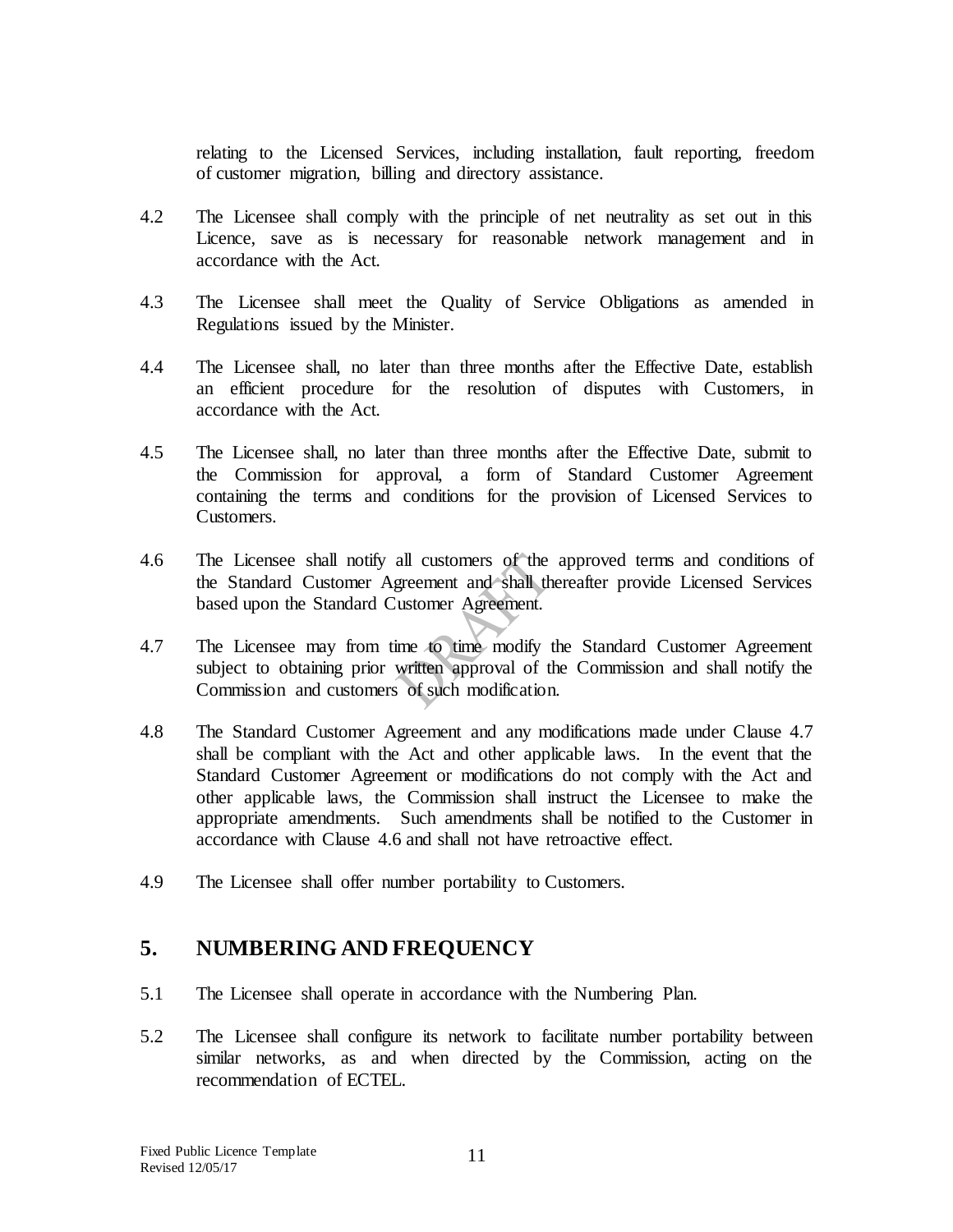relating to the Licensed Services, including installation, fault reporting, freedom of customer migration, billing and directory assistance.

- 4.2 The Licensee shall comply with the principle of net neutrality as set out in this Licence, save as is necessary for reasonable network management and in accordance with the Act.
- 4.3 The Licensee shall meet the Quality of Service Obligations as amended in Regulations issued by the Minister.
- 4.4 The Licensee shall, no later than three months after the Effective Date, establish an efficient procedure for the resolution of disputes with Customers, in accordance with the Act.
- 4.5 The Licensee shall, no later than three months after the Effective Date, submit to the Commission for approval, a form of Standard Customer Agreement containing the terms and conditions for the provision of Licensed Services to Customers.
- 4.6 The Licensee shall notify all customers of the approved terms and conditions of the Standard Customer Agreement and shall thereafter provide Licensed Services based upon the Standard Customer Agreement.
- 4.7 The Licensee may from time to time modify the Standard Customer Agreement subject to obtaining prior written approval of the Commission and shall notify the Commission and customers of such modification.
- 4.8 The Standard Customer Agreement and any modifications made under Clause 4.7 shall be compliant with the Act and other applicable laws. In the event that the Standard Customer Agreement or modifications do not comply with the Act and other applicable laws, the Commission shall instruct the Licensee to make the appropriate amendments. Such amendments shall be notified to the Customer in accordance with Clause 4.6 and shall not have retroactive effect.
- 4.9 The Licensee shall offer number portability to Customers.

### <span id="page-10-0"></span>**5. NUMBERING AND FREQUENCY**

- 5.1 The Licensee shall operate in accordance with the Numbering Plan.
- 5.2 The Licensee shall configure its network to facilitate number portability between similar networks, as and when directed by the Commission, acting on the recommendation of ECTEL.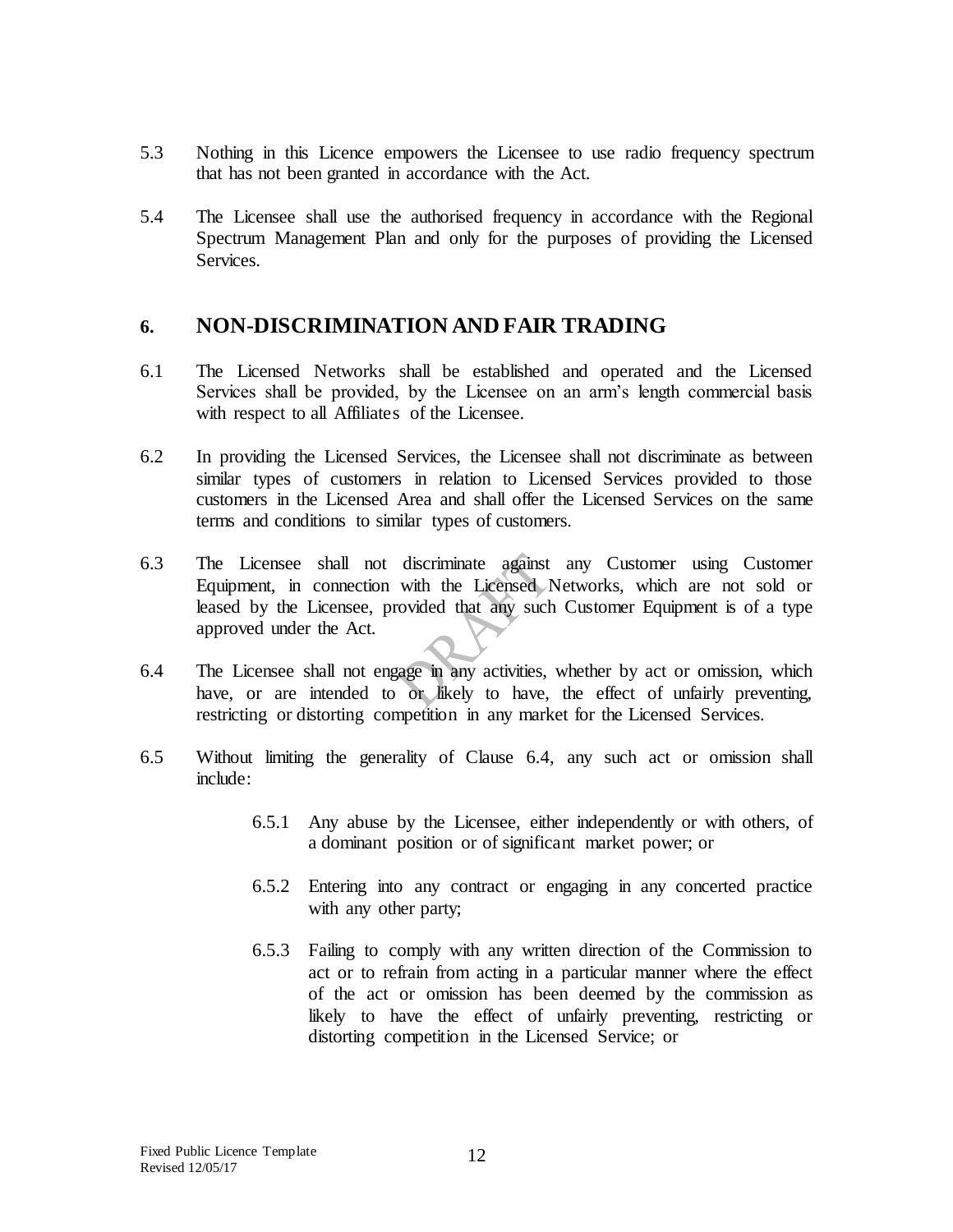- 5.3 Nothing in this Licence empowers the Licensee to use radio frequency spectrum that has not been granted in accordance with the Act.
- 5.4 The Licensee shall use the authorised frequency in accordance with the Regional Spectrum Management Plan and only for the purposes of providing the Licensed Services.

#### <span id="page-11-0"></span>**6. NON-DISCRIMINATION AND FAIR TRADING**

- 6.1 The Licensed Networks shall be established and operated and the Licensed Services shall be provided, by the Licensee on an arm's length commercial basis with respect to all Affiliates of the Licensee.
- 6.2 In providing the Licensed Services, the Licensee shall not discriminate as between similar types of customers in relation to Licensed Services provided to those customers in the Licensed Area and shall offer the Licensed Services on the same terms and conditions to similar types of customers.
- 6.3 The Licensee shall not discriminate against any Customer using Customer Equipment, in connection with the Licensed Networks, which are not sold or leased by the Licensee, provided that any such Customer Equipment is of a type approved under the Act.
- 6.4 The Licensee shall not engage in any activities, whether by act or omission, which have, or are intended to or likely to have, the effect of unfairly preventing, restricting or distorting competition in any market for the Licensed Services.
- 6.5 Without limiting the generality of Clause 6.4, any such act or omission shall include:
	- 6.5.1 Any abuse by the Licensee, either independently or with others, of a dominant position or of significant market power; or
	- 6.5.2 Entering into any contract or engaging in any concerted practice with any other party;
	- 6.5.3 Failing to comply with any written direction of the Commission to act or to refrain from acting in a particular manner where the effect of the act or omission has been deemed by the commission as likely to have the effect of unfairly preventing, restricting or distorting competition in the Licensed Service; or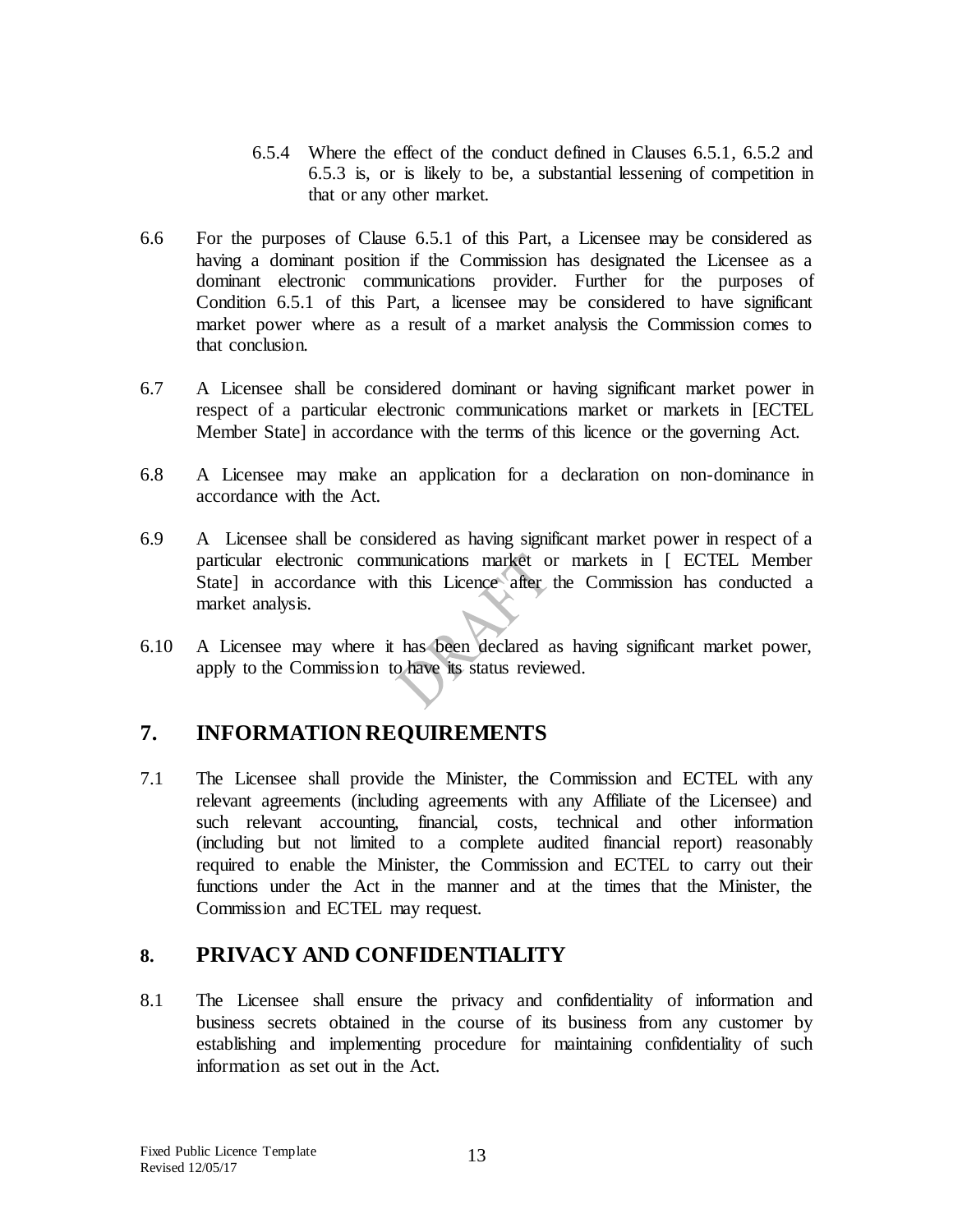- 6.5.4 Where the effect of the conduct defined in Clauses 6.5.1, 6.5.2 and 6.5.3 is, or is likely to be, a substantial lessening of competition in that or any other market.
- 6.6 For the purposes of Clause 6.5.1 of this Part, a Licensee may be considered as having a dominant position if the Commission has designated the Licensee as a dominant electronic communications provider. Further for the purposes of Condition 6.5.1 of this Part, a licensee may be considered to have significant market power where as a result of a market analysis the Commission comes to that conclusion.
- 6.7 A Licensee shall be considered dominant or having significant market power in respect of a particular electronic communications market or markets in [ECTEL Member State] in accordance with the terms of this licence or the governing Act.
- 6.8 A Licensee may make an application for a declaration on non-dominance in accordance with the Act.
- 6.9 A Licensee shall be considered as having significant market power in respect of a particular electronic communications market or markets in [ ECTEL Member State] in accordance with this Licence after the Commission has conducted a market analysis.
- 6.10 A Licensee may where it has been declared as having significant market power, apply to the Commission to have its status reviewed.

### <span id="page-12-0"></span>**7. INFORMATION REQUIREMENTS**

7.1 The Licensee shall provide the Minister, the Commission and ECTEL with any relevant agreements (including agreements with any Affiliate of the Licensee) and such relevant accounting, financial, costs, technical and other information (including but not limited to a complete audited financial report) reasonably required to enable the Minister, the Commission and ECTEL to carry out their functions under the Act in the manner and at the times that the Minister, the Commission and ECTEL may request.

#### <span id="page-12-1"></span>**8. PRIVACY AND CONFIDENTIALITY**

8.1 The Licensee shall ensure the privacy and confidentiality of information and business secrets obtained in the course of its business from any customer by establishing and implementing procedure for maintaining confidentiality of such information as set out in the Act.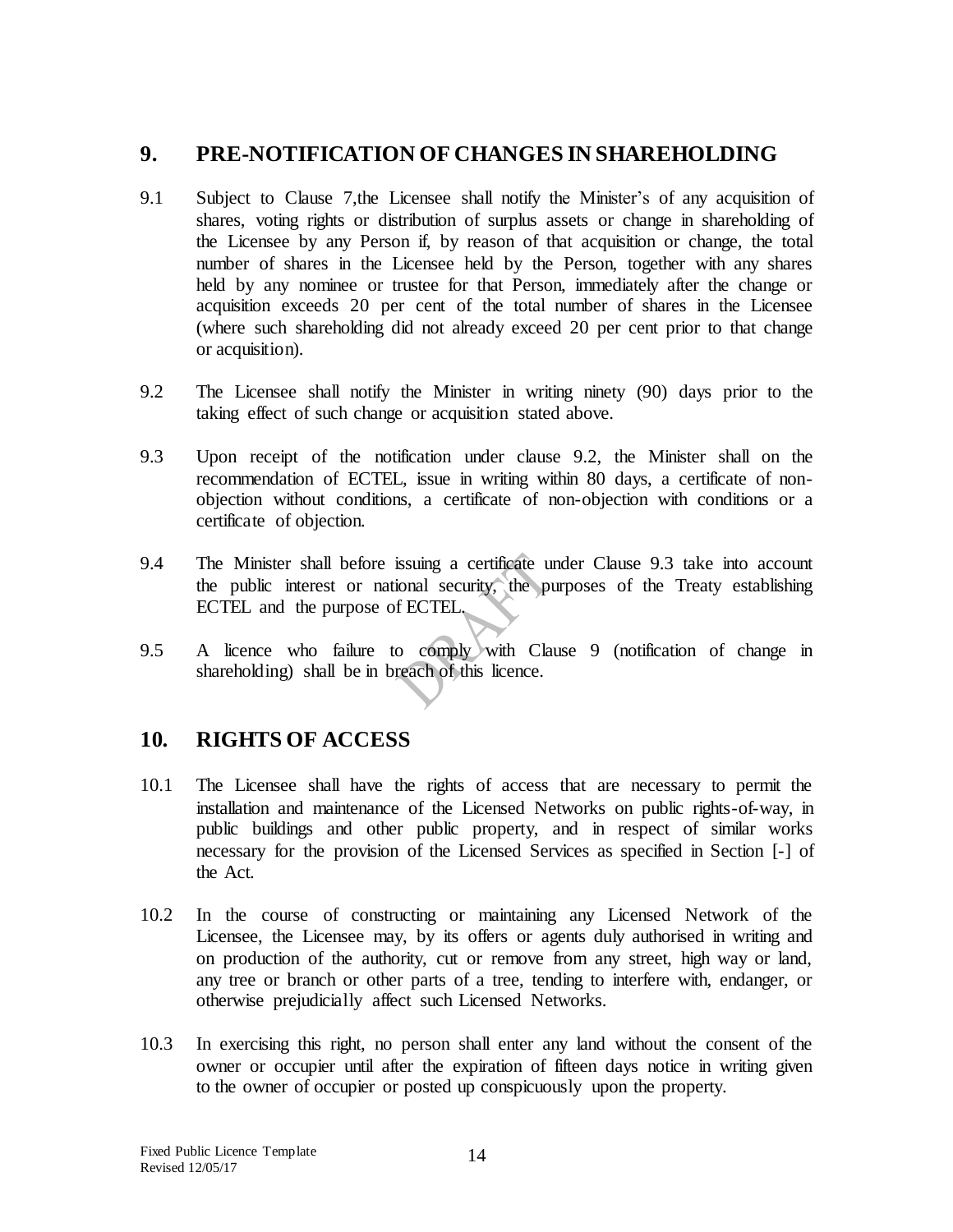#### <span id="page-13-0"></span>**9. PRE-NOTIFICATION OF CHANGES IN SHAREHOLDING**

- 9.1 Subject to Clause 7,the Licensee shall notify the Minister's of any acquisition of shares, voting rights or distribution of surplus assets or change in shareholding of the Licensee by any Person if, by reason of that acquisition or change, the total number of shares in the Licensee held by the Person, together with any shares held by any nominee or trustee for that Person, immediately after the change or acquisition exceeds 20 per cent of the total number of shares in the Licensee (where such shareholding did not already exceed 20 per cent prior to that change or acquisition).
- 9.2 The Licensee shall notify the Minister in writing ninety (90) days prior to the taking effect of such change or acquisition stated above.
- 9.3 Upon receipt of the notification under clause 9.2, the Minister shall on the recommendation of ECTEL, issue in writing within 80 days, a certificate of nonobjection without conditions, a certificate of non-objection with conditions or a certificate of objection.
- 9.4 The Minister shall before issuing a certificate under Clause 9.3 take into account the public interest or national security, the purposes of the Treaty establishing ECTEL and the purpose of ECTEL.
- 9.5 A licence who failure to comply with Clause 9 (notification of change in shareholding) shall be in breach of this licence.

### <span id="page-13-1"></span>**10. RIGHTS OF ACCESS**

- 10.1 The Licensee shall have the rights of access that are necessary to permit the installation and maintenance of the Licensed Networks on public rights-of-way, in public buildings and other public property, and in respect of similar works necessary for the provision of the Licensed Services as specified in Section [-] of the Act.
- 10.2 In the course of constructing or maintaining any Licensed Network of the Licensee, the Licensee may, by its offers or agents duly authorised in writing and on production of the authority, cut or remove from any street, high way or land, any tree or branch or other parts of a tree, tending to interfere with, endanger, or otherwise prejudicially affect such Licensed Networks.
- 10.3 In exercising this right, no person shall enter any land without the consent of the owner or occupier until after the expiration of fifteen days notice in writing given to the owner of occupier or posted up conspicuously upon the property.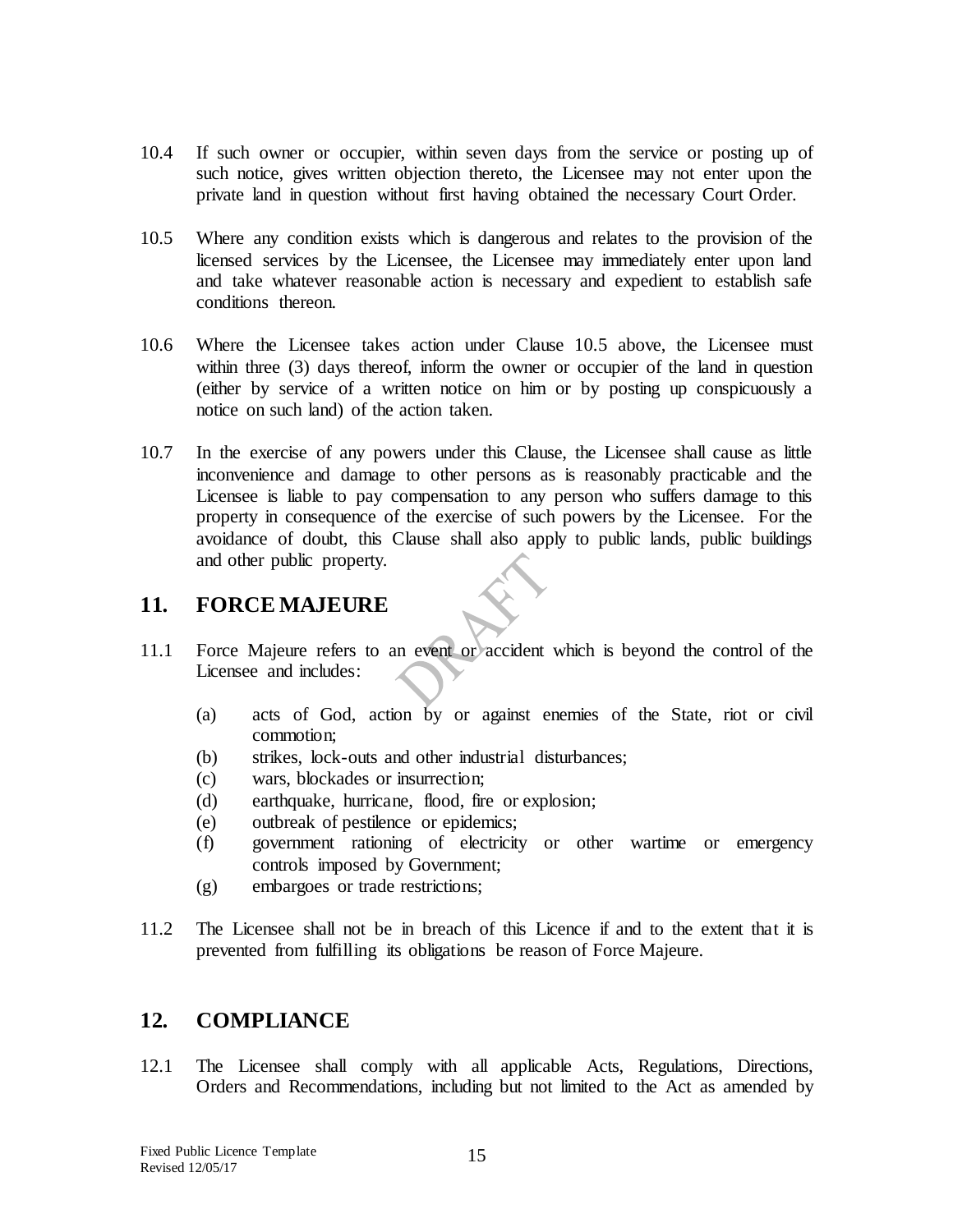- 10.4 If such owner or occupier, within seven days from the service or posting up of such notice, gives written objection thereto, the Licensee may not enter upon the private land in question without first having obtained the necessary Court Order.
- 10.5 Where any condition exists which is dangerous and relates to the provision of the licensed services by the Licensee, the Licensee may immediately enter upon land and take whatever reasonable action is necessary and expedient to establish safe conditions thereon.
- 10.6 Where the Licensee takes action under Clause 10.5 above, the Licensee must within three (3) days thereof, inform the owner or occupier of the land in question (either by service of a written notice on him or by posting up conspicuously a notice on such land) of the action taken.
- 10.7 In the exercise of any powers under this Clause, the Licensee shall cause as little inconvenience and damage to other persons as is reasonably practicable and the Licensee is liable to pay compensation to any person who suffers damage to this property in consequence of the exercise of such powers by the Licensee. For the avoidance of doubt, this Clause shall also apply to public lands, public buildings and other public property.

#### <span id="page-14-0"></span>**11. FORCE MAJEURE**

- 11.1 Force Majeure refers to an event or accident which is beyond the control of the Licensee and includes:
	- (a) acts of God, action by or against enemies of the State, riot or civil commotion;
	- (b) strikes, lock-outs and other industrial disturbances;
	- (c) wars, blockades or insurrection;
	- (d) earthquake, hurricane, flood, fire or explosion;
	- (e) outbreak of pestilence or epidemics;
	- (f) government rationing of electricity or other wartime or emergency controls imposed by Government;
	- (g) embargoes or trade restrictions;
- 11.2 The Licensee shall not be in breach of this Licence if and to the extent that it is prevented from fulfilling its obligations be reason of Force Majeure.

## <span id="page-14-1"></span>**12. COMPLIANCE**

12.1 The Licensee shall comply with all applicable Acts, Regulations, Directions, Orders and Recommendations, including but not limited to the Act as amended by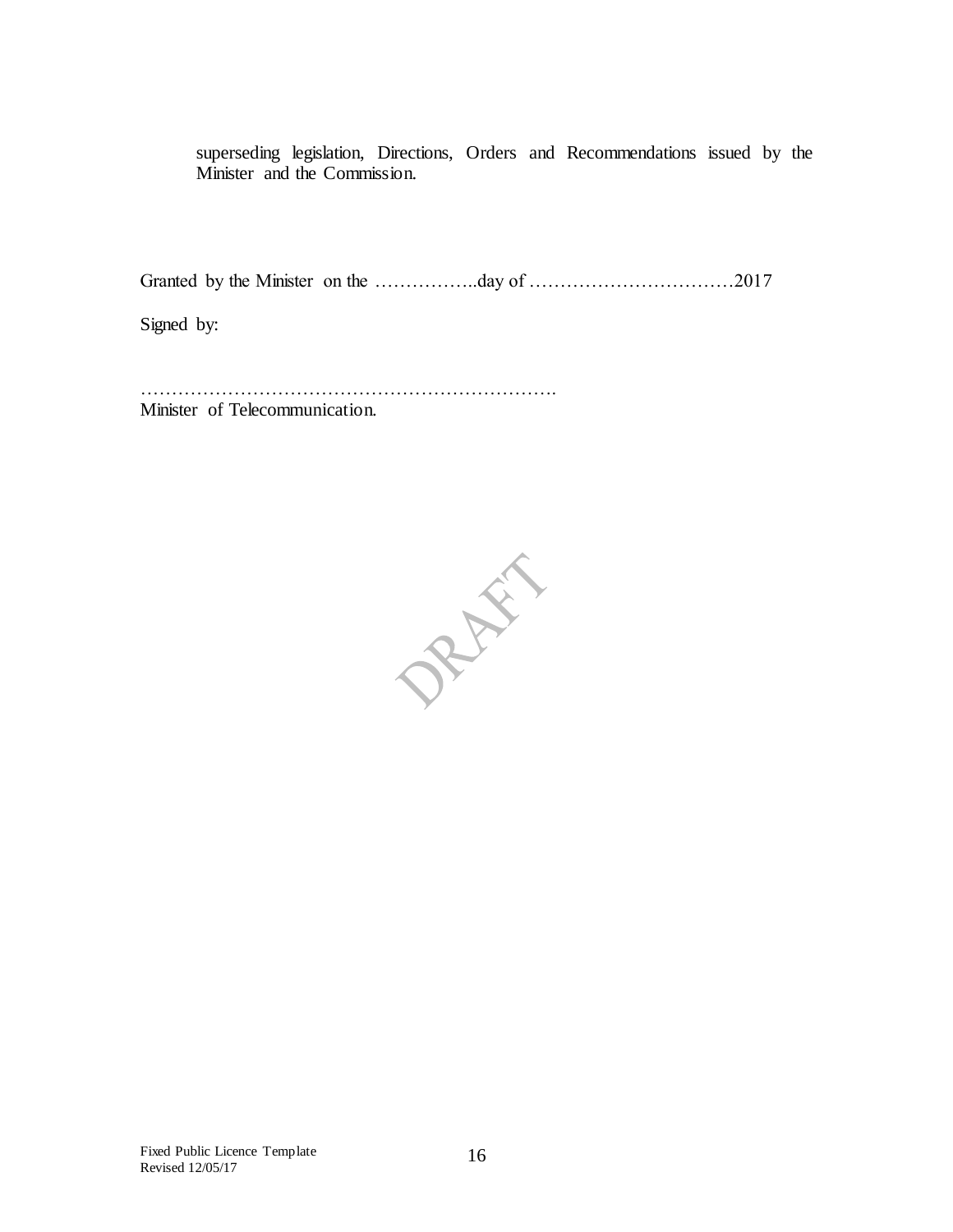superseding legislation, Directions, Orders and Recommendations issued by the Minister and the Commission.

Granted by the Minister on the ……………..day of ……………………………2017

Signed by:

…………………………………………………………. Minister of Telecommunication.

PRAIL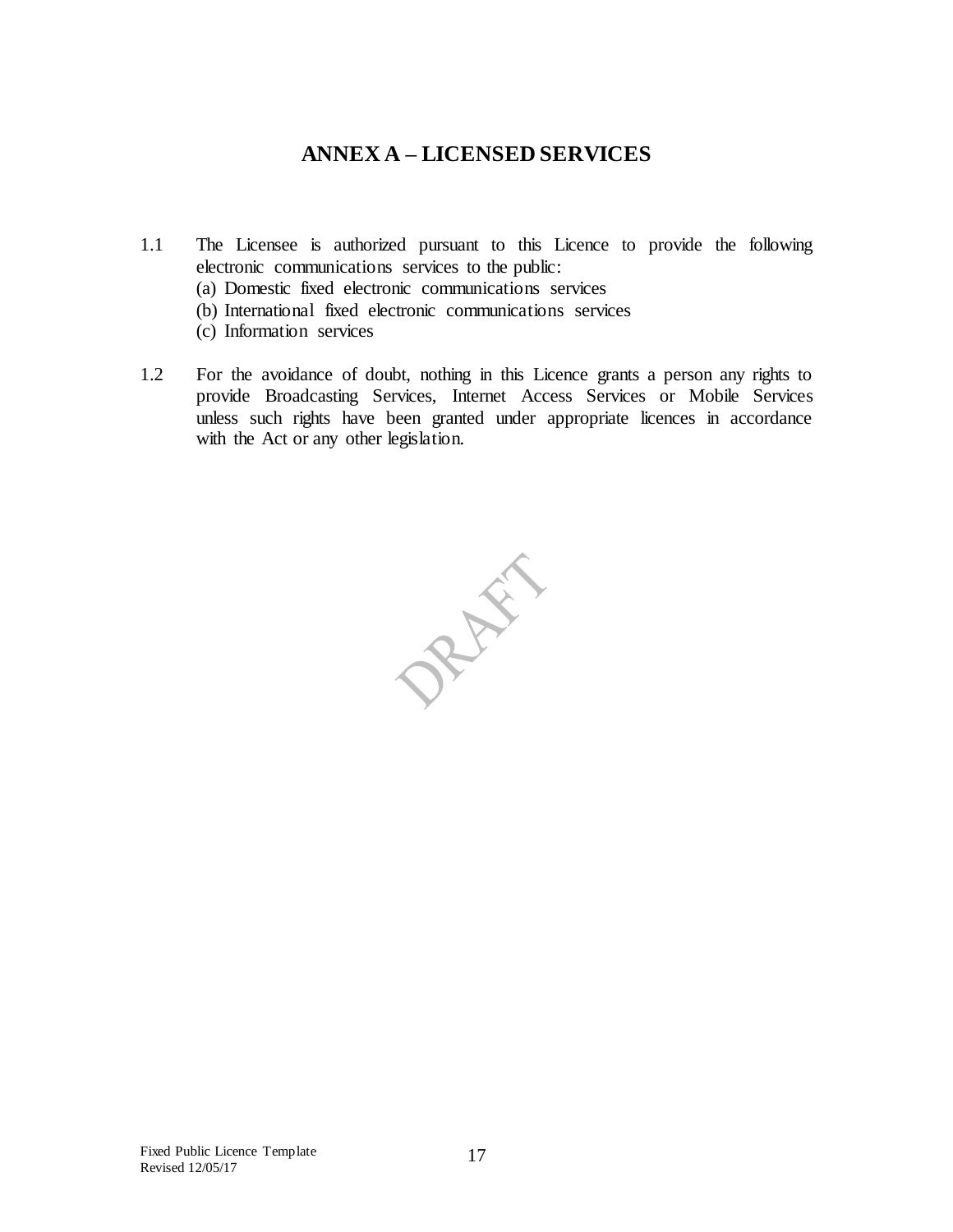#### **ANNEX A – LICENSED SERVICES**

- <span id="page-16-0"></span>1.1 The Licensee is authorized pursuant to this Licence to provide the following electronic communications services to the public:
	- (a) Domestic fixed electronic communications services
	- (b) International fixed electronic communications services
	- (c) Information services
- 1.2 For the avoidance of doubt, nothing in this Licence grants a person any rights to provide Broadcasting Services, Internet Access Services or Mobile Services unless such rights have been granted under appropriate licences in accordance with the Act or any other legislation.

PREFE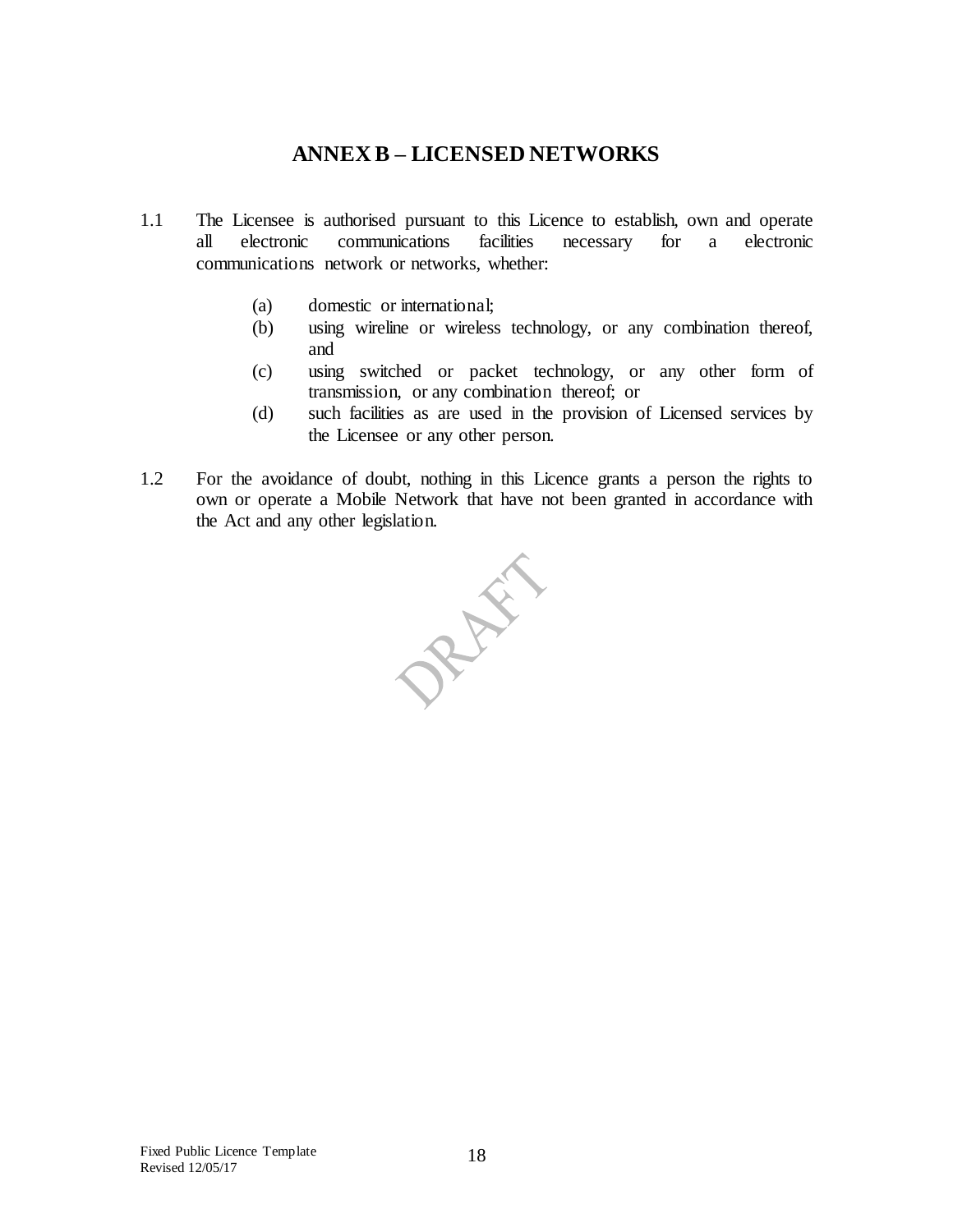### **ANNEX B – LICENSED NETWORKS**

- <span id="page-17-0"></span>1.1 The Licensee is authorised pursuant to this Licence to establish, own and operate all electronic communications facilities necessary for a electronic communications network or networks, whether:
	- (a) domestic or international;
	- (b) using wireline or wireless technology, or any combination thereof, and
	- (c) using switched or packet technology, or any other form of transmission, or any combination thereof; or
	- (d) such facilities as are used in the provision of Licensed services by the Licensee or any other person.
- 1.2 For the avoidance of doubt, nothing in this Licence grants a person the rights to own or operate a Mobile Network that have not been granted in accordance with the Act and any other legislation.

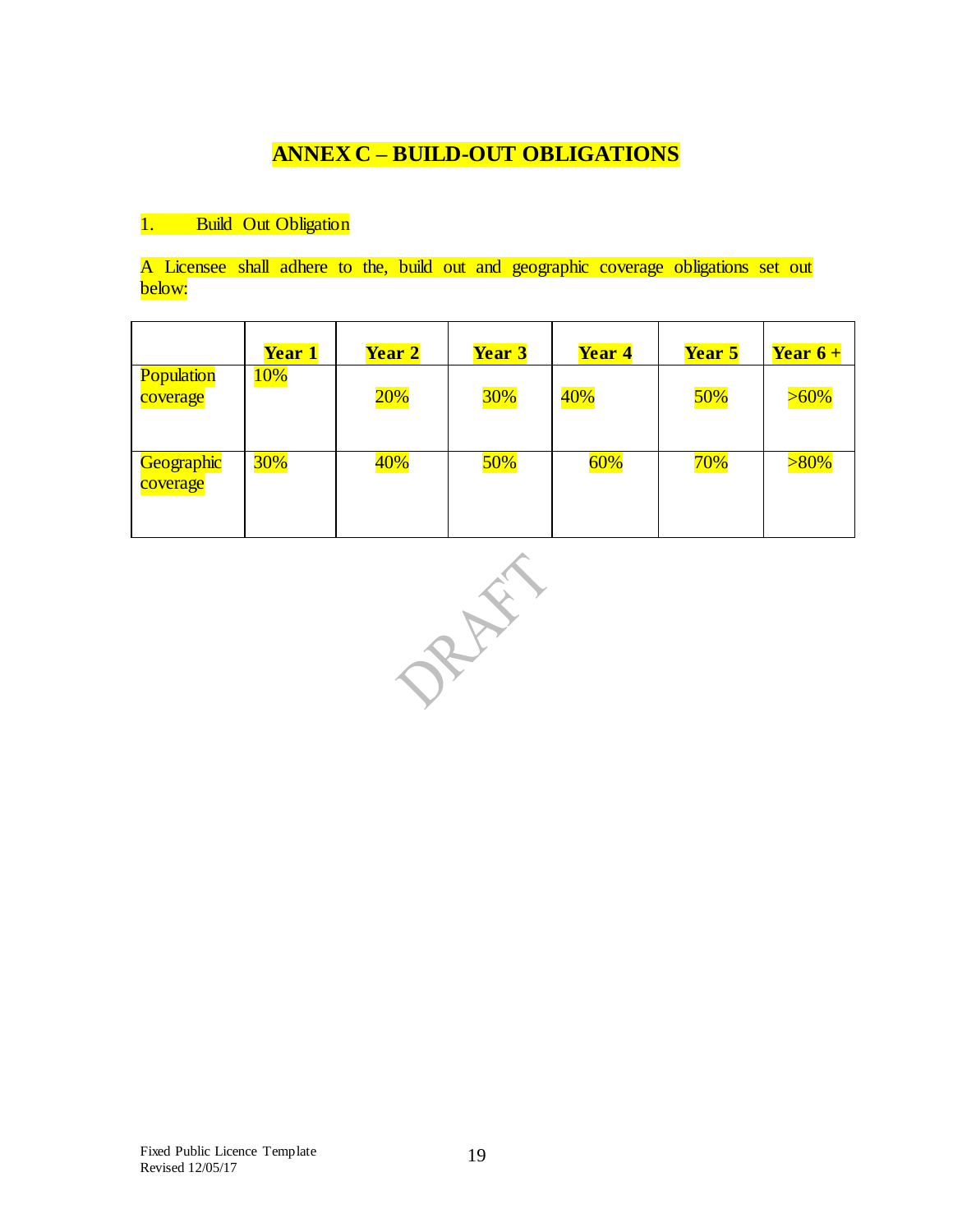## **ANNEX C – BUILD-OUT OBLIGATIONS**

#### <span id="page-18-0"></span>1. Build Out Obligation

A Licensee shall adhere to the, build out and geographic coverage obligations set out below:

|                        | <b>Year 1</b> | Year 2 | <b>Year 3</b> | Year 4 | Year 5 | Year $6+$ |
|------------------------|---------------|--------|---------------|--------|--------|-----------|
| Population<br>coverage | 10%           | 20%    | <b>30%</b>    | 40%    | 50%    | $>60\%$   |
| Geographic<br>coverage | <b>30%</b>    | 40%    | 50%           | 60%    | 70%    | $>80\%$   |

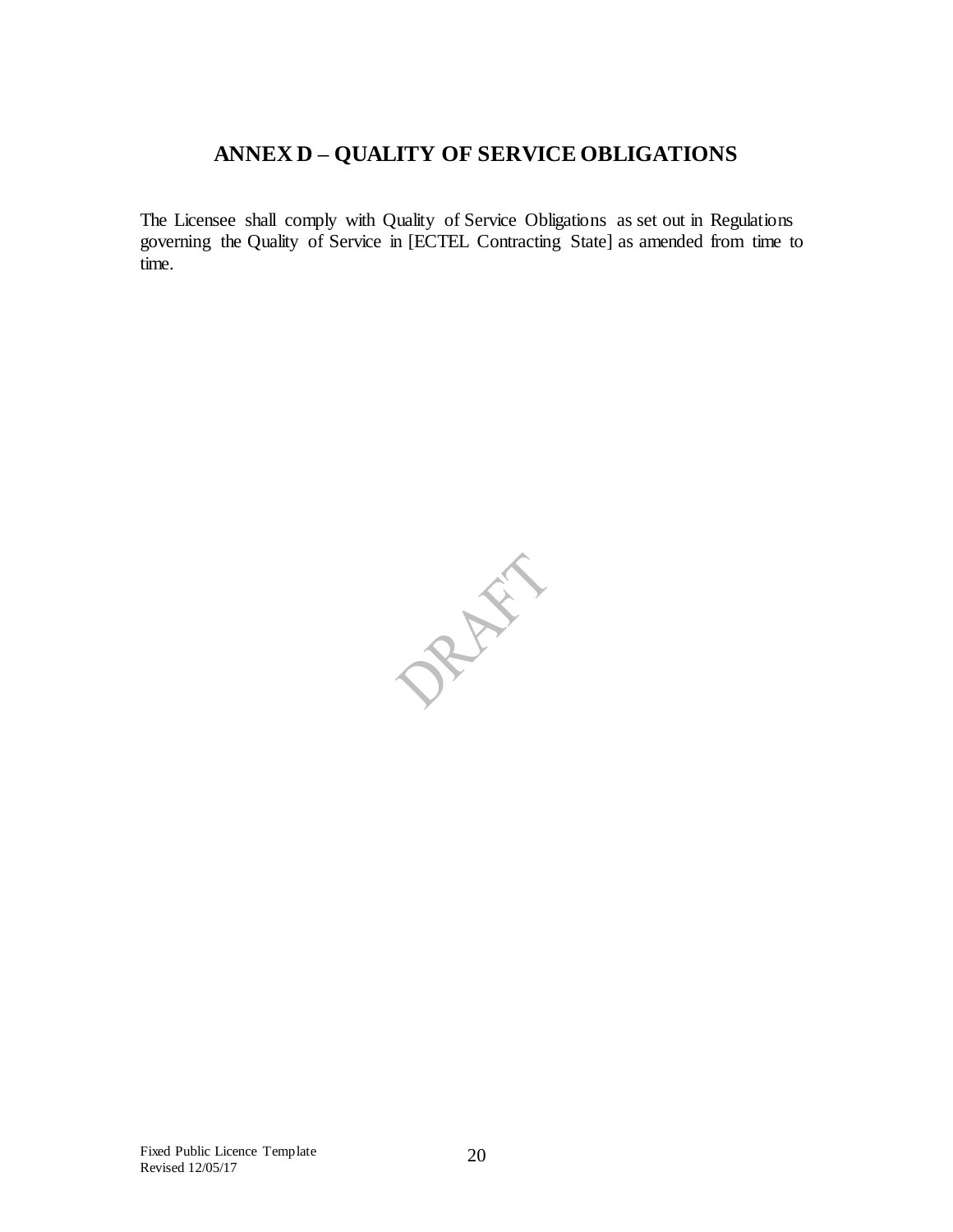### **ANNEX D – QUALITY OF SERVICE OBLIGATIONS**

<span id="page-19-0"></span>The Licensee shall comply with Quality of Service Obligations as set out in Regulations governing the Quality of Service in [ECTEL Contracting State] as amended from time to time.

PRAY